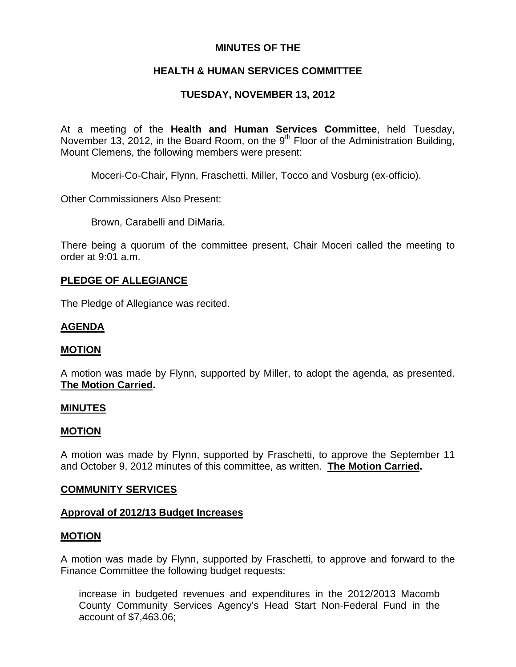## **MINUTES OF THE**

# **HEALTH & HUMAN SERVICES COMMITTEE**

# **TUESDAY, NOVEMBER 13, 2012**

At a meeting of the **Health and Human Services Committee**, held Tuesday, November 13, 2012, in the Board Room, on the 9<sup>th</sup> Floor of the Administration Building, Mount Clemens, the following members were present:

Moceri-Co-Chair, Flynn, Fraschetti, Miller, Tocco and Vosburg (ex-officio).

Other Commissioners Also Present:

Brown, Carabelli and DiMaria.

There being a quorum of the committee present, Chair Moceri called the meeting to order at 9:01 a.m.

## **PLEDGE OF ALLEGIANCE**

The Pledge of Allegiance was recited.

## **AGENDA**

## **MOTION**

A motion was made by Flynn, supported by Miller, to adopt the agenda, as presented. **The Motion Carried.** 

## **MINUTES**

## **MOTION**

A motion was made by Flynn, supported by Fraschetti, to approve the September 11 and October 9, 2012 minutes of this committee, as written. **The Motion Carried.** 

## **COMMUNITY SERVICES**

## **Approval of 2012/13 Budget Increases**

## **MOTION**

A motion was made by Flynn, supported by Fraschetti, to approve and forward to the Finance Committee the following budget requests:

increase in budgeted revenues and expenditures in the 2012/2013 Macomb County Community Services Agency's Head Start Non-Federal Fund in the account of \$7,463.06;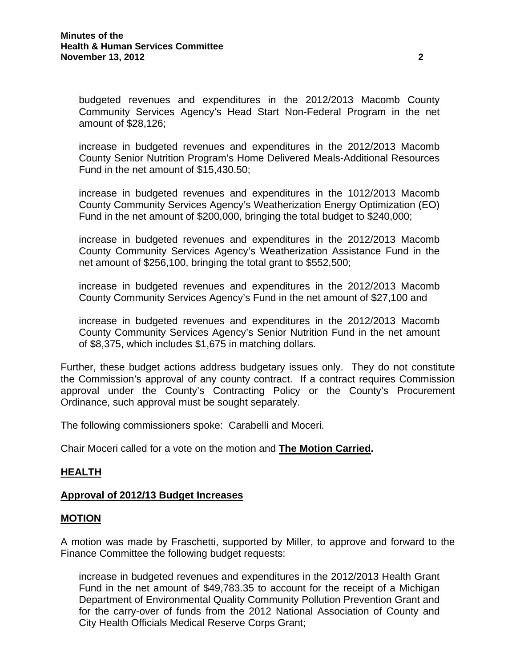budgeted revenues and expenditures in the 2012/2013 Macomb County Community Services Agency's Head Start Non-Federal Program in the net amount of \$28,126;

increase in budgeted revenues and expenditures in the 2012/2013 Macomb County Senior Nutrition Program's Home Delivered Meals-Additional Resources Fund in the net amount of \$15,430.50;

increase in budgeted revenues and expenditures in the 1012/2013 Macomb County Community Services Agency's Weatherization Energy Optimization (EO) Fund in the net amount of \$200,000, bringing the total budget to \$240,000;

increase in budgeted revenues and expenditures in the 2012/2013 Macomb County Community Services Agency's Weatherization Assistance Fund in the net amount of \$256,100, bringing the total grant to \$552,500;

increase in budgeted revenues and expenditures in the 2012/2013 Macomb County Community Services Agency's Fund in the net amount of \$27,100 and

increase in budgeted revenues and expenditures in the 2012/2013 Macomb County Community Services Agency's Senior Nutrition Fund in the net amount of \$8,375, which includes \$1,675 in matching dollars.

Further, these budget actions address budgetary issues only. They do not constitute the Commission's approval of any county contract. If a contract requires Commission approval under the County's Contracting Policy or the County's Procurement Ordinance, such approval must be sought separately.

The following commissioners spoke: Carabelli and Moceri.

Chair Moceri called for a vote on the motion and **The Motion Carried.** 

## **HEALTH**

## **Approval of 2012/13 Budget Increases**

## **MOTION**

A motion was made by Fraschetti, supported by Miller, to approve and forward to the Finance Committee the following budget requests:

increase in budgeted revenues and expenditures in the 2012/2013 Health Grant Fund in the net amount of \$49,783.35 to account for the receipt of a Michigan Department of Environmental Quality Community Pollution Prevention Grant and for the carry-over of funds from the 2012 National Association of County and City Health Officials Medical Reserve Corps Grant;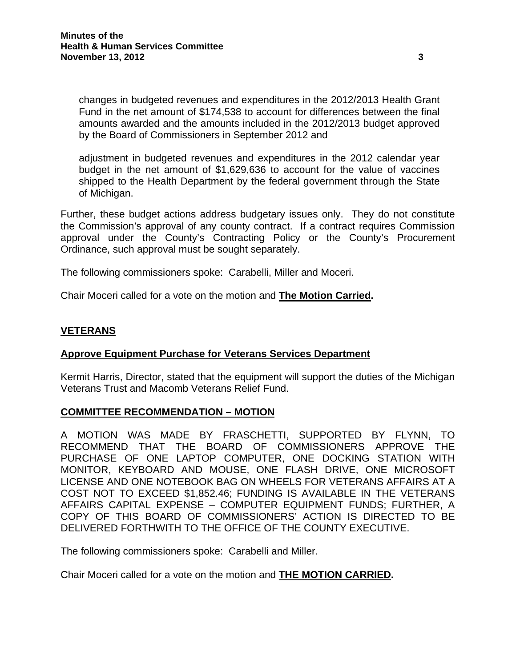changes in budgeted revenues and expenditures in the 2012/2013 Health Grant Fund in the net amount of \$174,538 to account for differences between the final amounts awarded and the amounts included in the 2012/2013 budget approved by the Board of Commissioners in September 2012 and

adjustment in budgeted revenues and expenditures in the 2012 calendar year budget in the net amount of \$1,629,636 to account for the value of vaccines shipped to the Health Department by the federal government through the State of Michigan.

Further, these budget actions address budgetary issues only. They do not constitute the Commission's approval of any county contract. If a contract requires Commission approval under the County's Contracting Policy or the County's Procurement Ordinance, such approval must be sought separately.

The following commissioners spoke: Carabelli, Miller and Moceri.

Chair Moceri called for a vote on the motion and **The Motion Carried.** 

## **VETERANS**

## **Approve Equipment Purchase for Veterans Services Department**

Kermit Harris, Director, stated that the equipment will support the duties of the Michigan Veterans Trust and Macomb Veterans Relief Fund.

## **COMMITTEE RECOMMENDATION – MOTION**

A MOTION WAS MADE BY FRASCHETTI, SUPPORTED BY FLYNN, TO RECOMMEND THAT THE BOARD OF COMMISSIONERS APPROVE THE PURCHASE OF ONE LAPTOP COMPUTER, ONE DOCKING STATION WITH MONITOR, KEYBOARD AND MOUSE, ONE FLASH DRIVE, ONE MICROSOFT LICENSE AND ONE NOTEBOOK BAG ON WHEELS FOR VETERANS AFFAIRS AT A COST NOT TO EXCEED \$1,852.46; FUNDING IS AVAILABLE IN THE VETERANS AFFAIRS CAPITAL EXPENSE – COMPUTER EQUIPMENT FUNDS; FURTHER, A COPY OF THIS BOARD OF COMMISSIONERS' ACTION IS DIRECTED TO BE DELIVERED FORTHWITH TO THE OFFICE OF THE COUNTY EXECUTIVE.

The following commissioners spoke: Carabelli and Miller.

Chair Moceri called for a vote on the motion and **THE MOTION CARRIED.**